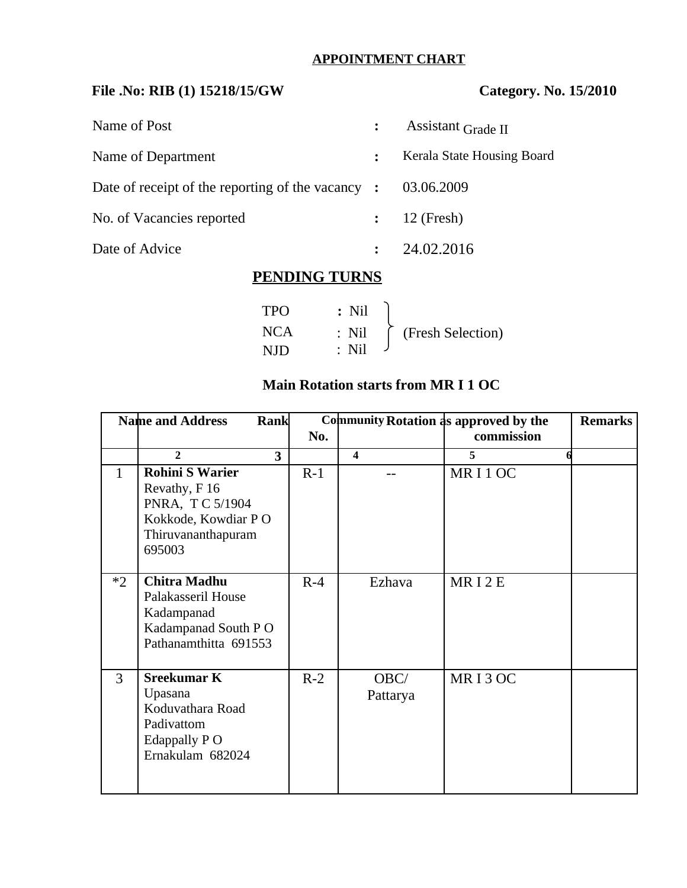# **APPOINTMENT CHART**

# **File .No: RIB (1) 15218/15/GW Category. No. 15/2010**

| Name of Post                                            |                | Assistant Grade II         |
|---------------------------------------------------------|----------------|----------------------------|
| Name of Department                                      | $\ddot{\cdot}$ | Kerala State Housing Board |
| Date of receipt of the reporting of the vacancy $\cdot$ |                | 03.06.2009                 |
| No. of Vacancies reported                               |                | 12 (Fresh)                 |
| Date of Advice                                          |                | 24.02.2016                 |

## **PENDING TURNS**

| <b>TPO</b> | $\therefore$ Nil |                                              |
|------------|------------------|----------------------------------------------|
| <b>NCA</b> |                  | $\therefore$ Nil $\bigcap$ (Fresh Selection) |
| NID        | $:$ Nil          |                                              |

## **Main Rotation starts from MR I 1 OC**

| <b>Name and Address</b><br>Rank |                                                                                                                    | Community Rotation as approved by the | <b>Remarks</b> |                         |            |  |
|---------------------------------|--------------------------------------------------------------------------------------------------------------------|---------------------------------------|----------------|-------------------------|------------|--|
|                                 |                                                                                                                    |                                       | No.            |                         | commission |  |
|                                 | $\overline{2}$                                                                                                     | 3                                     |                | $\overline{\mathbf{4}}$ | 5          |  |
| $\mathbf{1}$                    | <b>Rohini S Warier</b><br>Revathy, F 16<br>PNRA, T C 5/1904<br>Kokkode, Kowdiar PO<br>Thiruvananthapuram<br>695003 |                                       | $R-1$          |                         | MRI1OC     |  |
| $*2$                            | <b>Chitra Madhu</b><br>Palakasseril House<br>Kadampanad<br>Kadampanad South PO<br>Pathanamthitta 691553            |                                       | $R-4$          | Ezhava                  | MRI2E      |  |
| $\overline{3}$                  | <b>Sreekumar K</b><br>Upasana<br>Koduvathara Road<br>Padivattom<br>Edappally P O<br>Ernakulam 682024               |                                       | $R-2$          | OBC/<br>Pattarya        | MRI3OC     |  |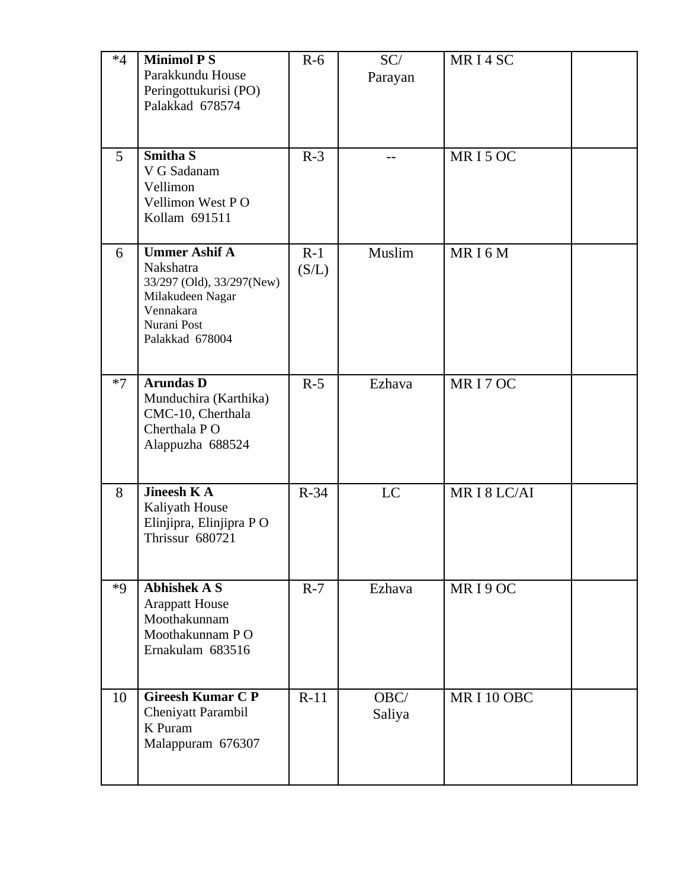| $*4$ | <b>Minimol PS</b><br>Parakkundu House<br>Peringottukurisi (PO)<br>Palakkad 678574                                                 | $R-6$          | SC/<br>Parayan | MRI4SC    |  |
|------|-----------------------------------------------------------------------------------------------------------------------------------|----------------|----------------|-----------|--|
| 5    | <b>Smitha S</b><br>V G Sadanam<br>Vellimon<br>Vellimon West PO<br>Kollam 691511                                                   | $R-3$          |                | MRI5OC    |  |
| 6    | <b>Ummer Ashif A</b><br>Nakshatra<br>33/297 (Old), 33/297(New)<br>Milakudeen Nagar<br>Vennakara<br>Nurani Post<br>Palakkad 678004 | $R-1$<br>(S/L) | Muslim         | MRI6M     |  |
| $*7$ | <b>Arundas D</b><br>Munduchira (Karthika)<br>CMC-10, Cherthala<br>Cherthala P O<br>Alappuzha 688524                               | $R-5$          | Ezhava         | MRI7OC    |  |
| 8    | <b>Jineesh KA</b><br>Kaliyath House<br>Elinjipra, Elinjipra PO<br>Thrissur 680721                                                 | $R-34$         | LC             | MRI8LC/AI |  |
| $*9$ | <b>Abhishek A S</b><br><b>Arappatt House</b><br>Moothakunnam<br>Moothakunnam PO<br>Ernakulam 683516                               | $R-7$          | Ezhava         | MRI9OC    |  |
| 10   | <b>Gireesh Kumar C P</b><br>Cheniyatt Parambil<br>K Puram<br>Malappuram 676307                                                    | $R-11$         | OBC/<br>Saliya | MRI10OBC  |  |